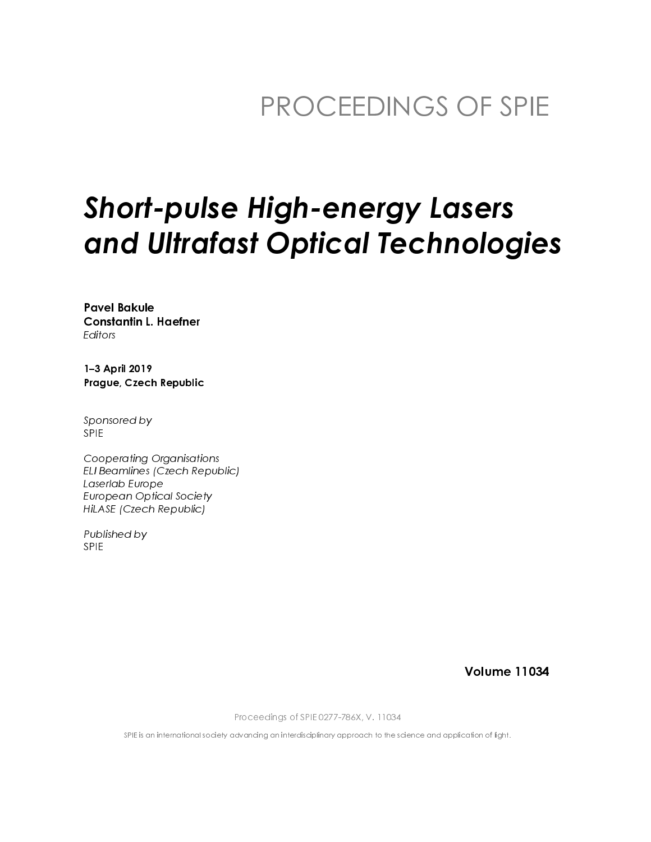## PROCEEDINGS OF SPIE

# **Short-pulse High-energy Lasers** and Ultrafast Optical Technologies

**Pavel Bakule Constantin L. Haefner** Editors

1-3 April 2019 Prague, Czech Republic

Sponsored by **SPIE** 

**Cooperating Organisations** ELI Beamlines (Czech Republic) Laserlab Europe **European Optical Society** HiLASE (Czech Republic)

Published by **SPIE** 

**Volume 11034** 

Proceedings of SPIE 0277-786X, V. 11034

SPIE is an international society advancing an interdisciplinary approach to the science and application of light.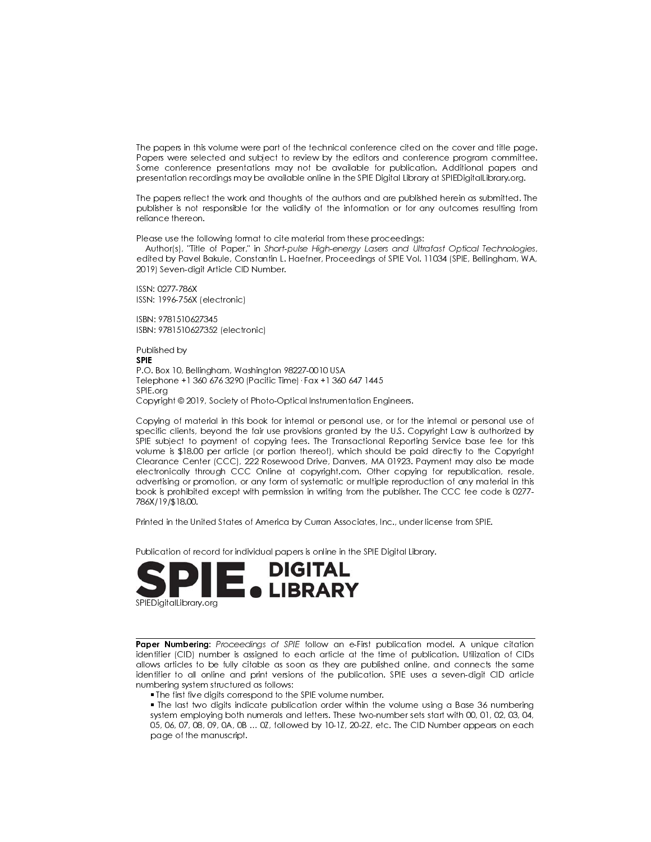The papers in this volume were part of the technical conference cited on the cover and title page. Papers were selected and subject to review by the editors and conference program committee. Some conference presentations may not be available for publication. Additional papers and presentation recordings may be available online in the SPIE Digital Library at SPIEDigital Library org.

The papers reflect the work and thoughts of the authors and are published herein as submitted. The publisher is not responsible for the validity of the information or for any outcomes resulting from reliance thereon.

Please use the following format to cite material from these proceedings:

Author(s), "Title of Paper," in Short-pulse High-energy Lasers and Ultrafast Optical Technologies, edited by Pavel Bakule, Constantin L. Haefner, Proceedings of SPIE Vol. 11034 (SPIE, Bellingham, WA, 2019) Seven-digit Article CID Number.

ISSN: 0277-786X ISSN: 1996-756X (electronic)

ISBN: 9781510627345 ISBN: 9781510627352 (electronic)

Published by **SPIF** P.O. Box 10, Bellingham, Washington 98227-0010 USA Telephone +1 360 676 3290 (Pacific Time) · Fax +1 360 647 1445 SPIE.org Copyright © 2019, Society of Photo-Optical Instrumentation Engineers.

Copying of material in this book for internal or personal use, or for the internal or personal use of specific clients, beyond the fair use provisions granted by the U.S. Copyright Law is authorized by SPIE subject to payment of copying fees. The Transactional Reporting Service base fee for this volume is \$18.00 per article (or portion thereof), which should be paid directly to the Copyright Clearance Center (CCC), 222 Rosewood Drive, Danvers, MA 01923. Payment may also be made electronically through CCC Online at copyright.com. Other copying for republication, resale, advertising or promotion, or any form of systematic or multiple reproduction of any material in this book is prohibited except with permission in writing from the publisher. The CCC fee code is 0277-786X/19/\$18.00.

Printed in the United States of America by Curran Associates, Inc., under license from SPIE.

Publication of record for individual papers is online in the SPIE Digital Library.



Paper Numbering: Proceedings of SPIE follow an e-First publication model. A unique citation identifier (CID) number is assigned to each article at the time of publication. Utilization of CIDs allows articles to be fully citable as soon as they are published online, and connects the same identifier to all online and print versions of the publication. SPIE uses a seven-digit CID article numbering system structured as follows:

. The first five digits correspond to the SPIE volume number.

• The last two digits indicate publication order within the volume using a Base 36 numbering system employing both numerals and letters. These two-number sets start with 00, 01, 02, 03, 04, 05, 06, 07, 08, 09, 0A, 0B ... 0Z, followed by 10-1Z, 20-2Z, etc. The CID Number appears on each page of the manuscript.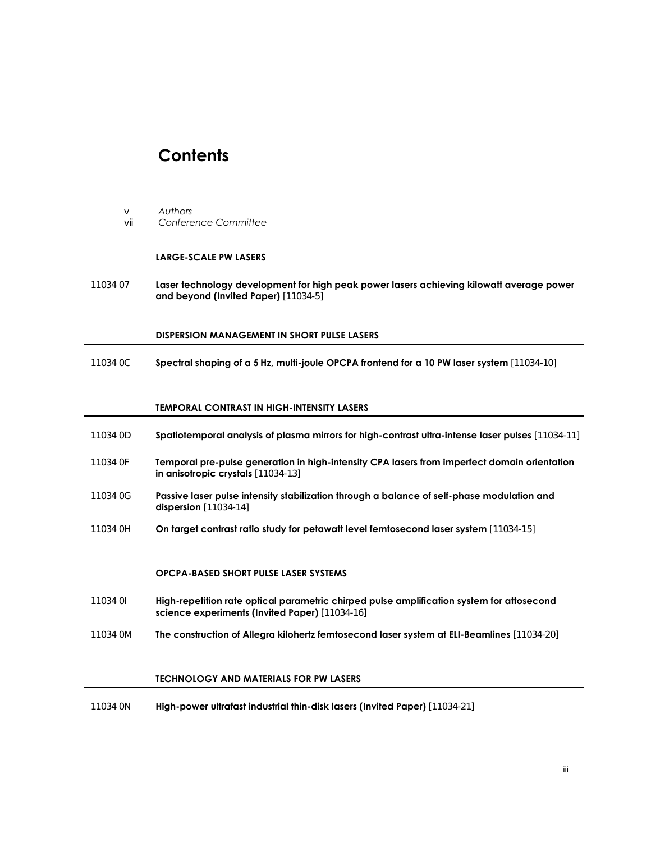### **Contents**

- v *Authors*
- vii *Conference Committee*

#### **LARGE-SCALE PW LASERS**

11034 07 **Laser technology development for high peak power lasers achieving kilowatt average power and beyond (Invited Paper)** [11034-5]

#### **DISPERSION MANAGEMENT IN SHORT PULSE LASERS**

11034 0C **Spectral shaping of a 5 Hz, multi-joule OPCPA frontend for a 10 PW laser system** [11034-10]

#### **TEMPORAL CONTRAST IN HIGH-INTENSITY LASERS**

- 11034 0D **Spatiotemporal analysis of plasma mirrors for high-contrast ultra-intense laser pulses** [11034-11]
- 11034 0F **Temporal pre-pulse generation in high-intensity CPA lasers from imperfect domain orientation in anisotropic crystals** [11034-13]
- 11034 0G **Passive laser pulse intensity stabilization through a balance of self-phase modulation and dispersion** [11034-14]
- 11034 0H **On target contrast ratio study for petawatt level femtosecond laser system** [11034-15]

#### **OPCPA-BASED SHORT PULSE LASER SYSTEMS**

- 11034 0I **High-repetition rate optical parametric chirped pulse amplification system for attosecond science experiments (Invited Paper)** [11034-16]
- 11034 0M **The construction of Allegra kilohertz femtosecond laser system at ELI-Beamlines** [11034-20]

#### **TECHNOLOGY AND MATERIALS FOR PW LASERS**

11034 0N **High-power ultrafast industrial thin-disk lasers (Invited Paper)** [11034-21]